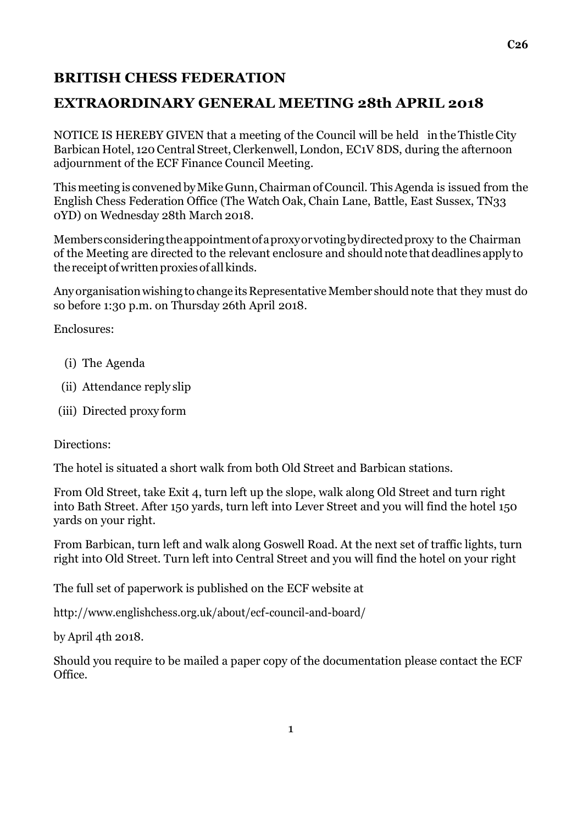## **BRITISH CHESS FEDERATION**

## **EXTRAORDINARY GENERAL MEETING 28th APRIL 2018**

NOTICE IS HEREBY GIVEN that a meeting of the Council will be held in the Thistle City Barbican Hotel, 120 Central Street, Clerkenwell, London, EC1V 8DS, during the afternoon adjournment of the ECF Finance Council Meeting.

This meeting is convened by Mike Gunn, Chairman of Council. This Agenda is issued from the English Chess Federation Office (The Watch Oak, Chain Lane, Battle, East Sussex, TN33 0YD) on Wednesday 28th March 2018.

Members considering the appointment of a proxy or voting by directed proxy to the Chairman of the Meeting are directed to the relevant enclosure and should note that deadlines apply to the receipt of written proxies of all kinds.

Any organisation wishing to change its Representative Member should note that they must do so before 1:30 p.m. on Thursday 26th April 2018.

Enclosures:

- (i) The Agenda
- (ii) Attendance reply slip
- (iii) Directed proxy form

Directions:

The hotel is situated a short walk from both Old Street and Barbican stations.

From Old Street, take Exit 4, turn left up the slope, walk along Old Street and turn right into Bath Street. After 150 yards, turn left into Lever Street and you will find the hotel 150 yards on your right.

From Barbican, turn left and walk along Goswell Road. At the next set of traffic lights, turn right into Old Street. Turn left into Central Street and you will find the hotel on your right

The full set of paperwork is published on the ECF website at

<http://www.englishchess.org.uk/about/ecf-council-and-board/>

by April 4th 2018.

Should you require to be mailed a paper copy of the documentation please contact the ECF Office.